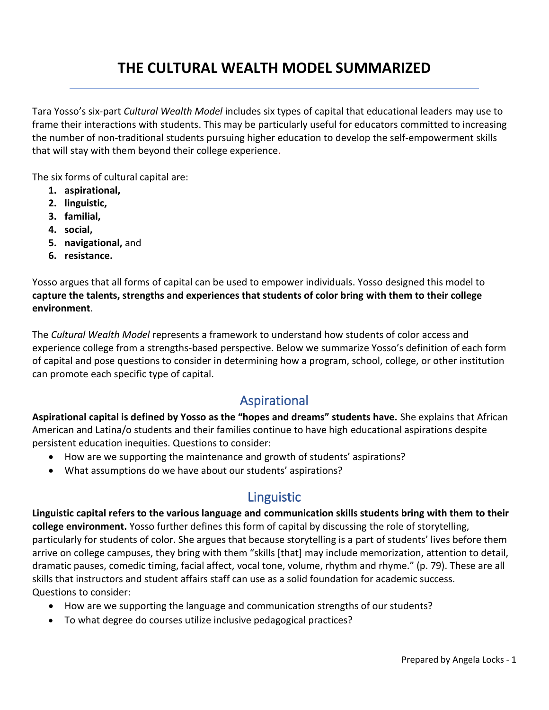# **THE CULTURAL WEALTH MODEL SUMMARIZED**

Tara Yosso's six-part *Cultural Wealth Model* includes six types of capital that educational leaders may use to frame their interactions with students. This may be particularly useful for educators committed to increasing the number of non-traditional students pursuing higher education to develop the self-empowerment skills that will stay with them beyond their college experience.

The six forms of cultural capital are:

- **1. aspirational,**
- **2. linguistic,**
- **3. familial,**
- **4. social,**
- **5. navigational,** and
- **6. resistance.**

Yosso argues that all forms of capital can be used to empower individuals. Yosso designed this model to **capture the talents, strengths and experiences that students of color bring with them to their college environment**.

The *Cultural Wealth Model* represents a framework to understand how students of color access and experience college from a strengths-based perspective. Below we summarize Yosso's definition of each form of capital and pose questions to consider in determining how a program, school, college, or other institution can promote each specific type of capital.

## Aspirational

**Aspirational capital is defined by Yosso as the "hopes and dreams" students have.** She explains that African American and Latina/o students and their families continue to have high educational aspirations despite persistent education inequities. Questions to consider:

- How are we supporting the maintenance and growth of students' aspirations?
- What assumptions do we have about our students' aspirations?

## Linguistic

**Linguistic capital refers to the various language and communication skills students bring with them to their college environment.** Yosso further defines this form of capital by discussing the role of storytelling, particularly for students of color. She argues that because storytelling is a part of students' lives before them arrive on college campuses, they bring with them "skills [that] may include memorization, attention to detail, dramatic pauses, comedic timing, facial affect, vocal tone, volume, rhythm and rhyme." (p. 79). These are all skills that instructors and student affairs staff can use as a solid foundation for academic success. Questions to consider:

- How are we supporting the language and communication strengths of our students?
- To what degree do courses utilize inclusive pedagogical practices?